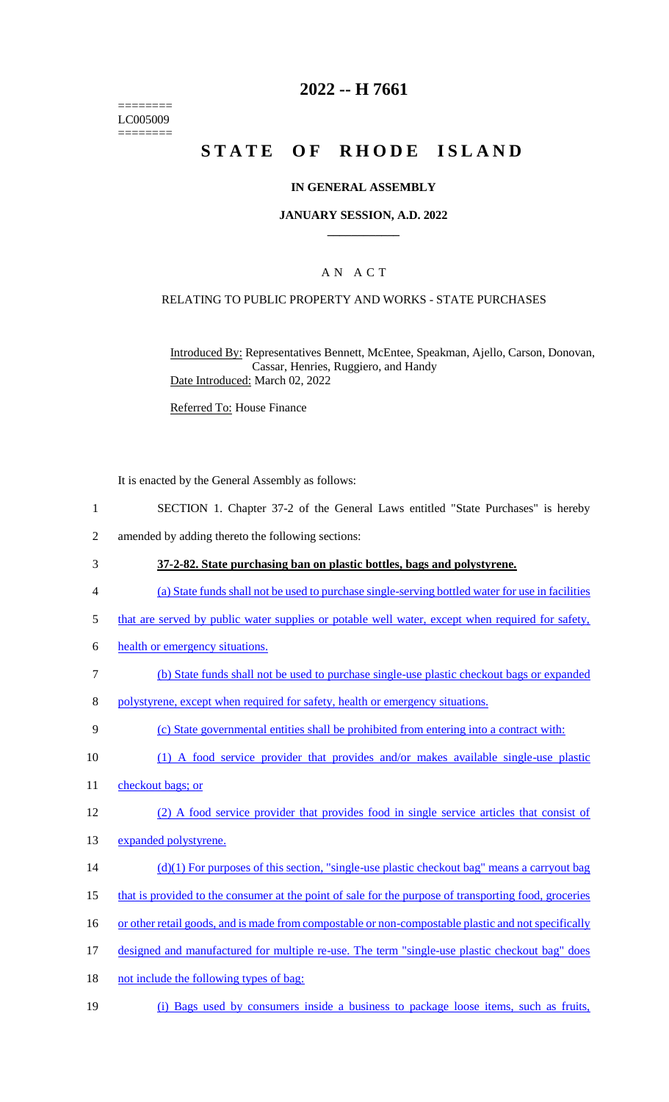======== LC005009 ========

# **2022 -- H 7661**

# **STATE OF RHODE ISLAND**

### **IN GENERAL ASSEMBLY**

#### **JANUARY SESSION, A.D. 2022 \_\_\_\_\_\_\_\_\_\_\_\_**

## A N A C T

### RELATING TO PUBLIC PROPERTY AND WORKS - STATE PURCHASES

Introduced By: Representatives Bennett, McEntee, Speakman, Ajello, Carson, Donovan, Cassar, Henries, Ruggiero, and Handy Date Introduced: March 02, 2022

Referred To: House Finance

It is enacted by the General Assembly as follows:

- 1 SECTION 1. Chapter 37-2 of the General Laws entitled "State Purchases" is hereby
- 2 amended by adding thereto the following sections:
- 3 **37-2-82. State purchasing ban on plastic bottles, bags and polystyrene.**
- 4 (a) State funds shall not be used to purchase single-serving bottled water for use in facilities
- 5 that are served by public water supplies or potable well water, except when required for safety,
- 6 health or emergency situations.
- 7 (b) State funds shall not be used to purchase single-use plastic checkout bags or expanded
- 8 polystyrene, except when required for safety, health or emergency situations.
- 9 (c) State governmental entities shall be prohibited from entering into a contract with:
- 10 (1) A food service provider that provides and/or makes available single-use plastic
- 11 checkout bags; or
- 12 (2) A food service provider that provides food in single service articles that consist of
- 13 expanded polystyrene.
- $(d)(1)$  For purposes of this section, "single-use plastic checkout bag" means a carryout bag
- 15 that is provided to the consumer at the point of sale for the purpose of transporting food, groceries
- 16 or other retail goods, and is made from compostable or non-compostable plastic and not specifically
- 17 designed and manufactured for multiple re-use. The term "single-use plastic checkout bag" does
- 18 not include the following types of bag:
- 19 (i) Bags used by consumers inside a business to package loose items, such as fruits,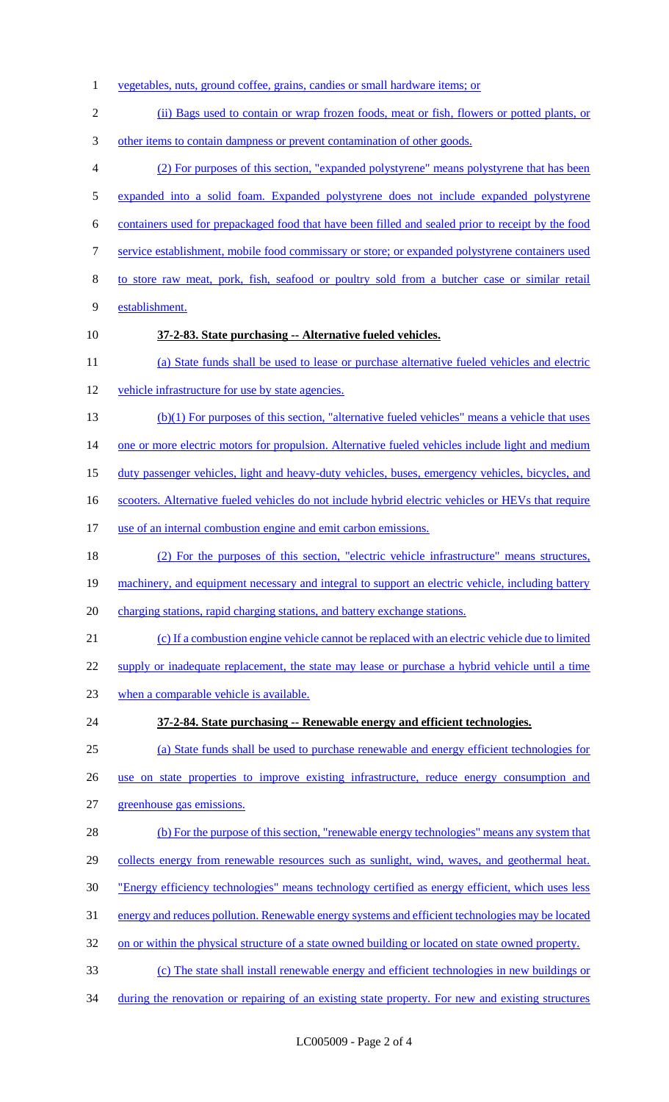- vegetables, nuts, ground coffee, grains, candies or small hardware items; or (ii) Bags used to contain or wrap frozen foods, meat or fish, flowers or potted plants, or other items to contain dampness or prevent contamination of other goods. (2) For purposes of this section, "expanded polystyrene" means polystyrene that has been expanded into a solid foam. Expanded polystyrene does not include expanded polystyrene containers used for prepackaged food that have been filled and sealed prior to receipt by the food service establishment, mobile food commissary or store; or expanded polystyrene containers used to store raw meat, pork, fish, seafood or poultry sold from a butcher case or similar retail establishment. **37-2-83. State purchasing -- Alternative fueled vehicles.** (a) State funds shall be used to lease or purchase alternative fueled vehicles and electric vehicle infrastructure for use by state agencies. (b)(1) For purposes of this section, "alternative fueled vehicles" means a vehicle that uses 14 one or more electric motors for propulsion. Alternative fueled vehicles include light and medium duty passenger vehicles, light and heavy-duty vehicles, buses, emergency vehicles, bicycles, and 16 scooters. Alternative fueled vehicles do not include hybrid electric vehicles or HEVs that require 17 use of an internal combustion engine and emit carbon emissions. (2) For the purposes of this section, "electric vehicle infrastructure" means structures, 19 machinery, and equipment necessary and integral to support an electric vehicle, including battery 20 charging stations, rapid charging stations, and battery exchange stations. (c) If a combustion engine vehicle cannot be replaced with an electric vehicle due to limited 22 supply or inadequate replacement, the state may lease or purchase a hybrid vehicle until a time 23 when a comparable vehicle is available. **37-2-84. State purchasing -- Renewable energy and efficient technologies.** (a) State funds shall be used to purchase renewable and energy efficient technologies for use on state properties to improve existing infrastructure, reduce energy consumption and greenhouse gas emissions. (b) For the purpose of this section, "renewable energy technologies" means any system that 29 collects energy from renewable resources such as sunlight, wind, waves, and geothermal heat. "Energy efficiency technologies" means technology certified as energy efficient, which uses less energy and reduces pollution. Renewable energy systems and efficient technologies may be located 32 on or within the physical structure of a state owned building or located on state owned property. (c) The state shall install renewable energy and efficient technologies in new buildings or
- 34 during the renovation or repairing of an existing state property. For new and existing structures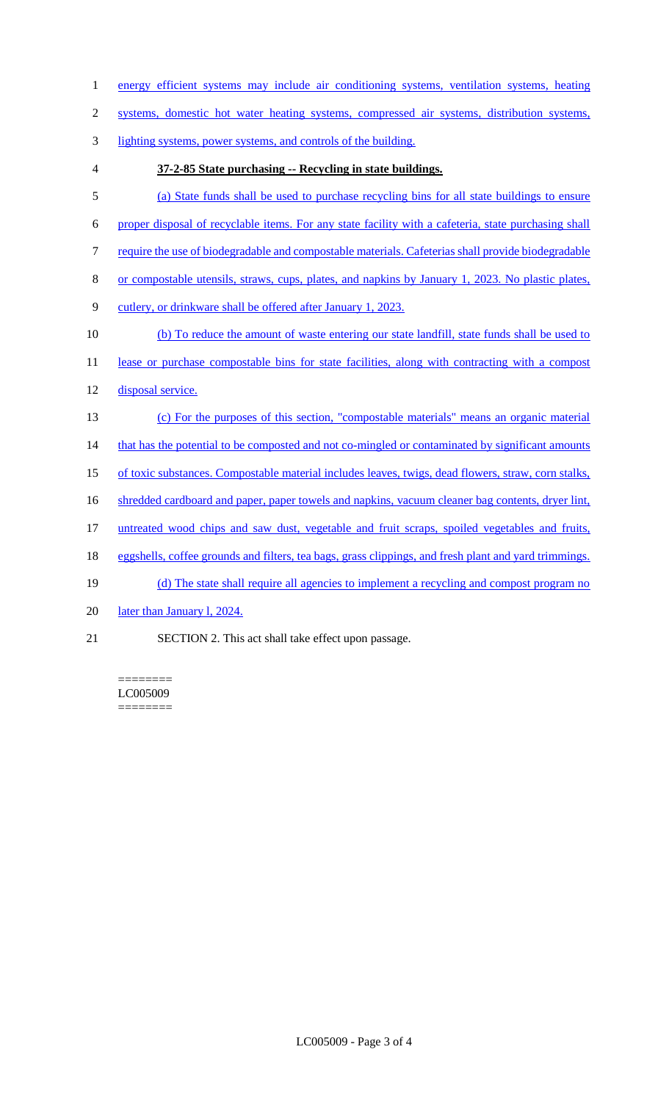- 1 energy efficient systems may include air conditioning systems, ventilation systems, heating
- 2 systems, domestic hot water heating systems, compressed air systems, distribution systems,
- 3 lighting systems, power systems, and controls of the building.
- 

# 4 **37-2-85 State purchasing -- Recycling in state buildings.**

- 5 (a) State funds shall be used to purchase recycling bins for all state buildings to ensure
- 6 proper disposal of recyclable items. For any state facility with a cafeteria, state purchasing shall
- 7 require the use of biodegradable and compostable materials. Cafeterias shall provide biodegradable
- 8 or compostable utensils, straws, cups, plates, and napkins by January 1, 2023. No plastic plates,
- 9 cutlery, or drinkware shall be offered after January 1, 2023.
- 10 (b) To reduce the amount of waste entering our state landfill, state funds shall be used to
- 11 lease or purchase compostable bins for state facilities, along with contracting with a compost
- 12 disposal service.
- 13 (c) For the purposes of this section, "compostable materials" means an organic material
- 14 that has the potential to be composted and not co-mingled or contaminated by significant amounts
- 15 of toxic substances. Compostable material includes leaves, twigs, dead flowers, straw, corn stalks,
- 16 shredded cardboard and paper, paper towels and napkins, vacuum cleaner bag contents, dryer lint,
- 17 untreated wood chips and saw dust, vegetable and fruit scraps, spoiled vegetables and fruits,
- 18 eggshells, coffee grounds and filters, tea bags, grass clippings, and fresh plant and yard trimmings.
- 19 (d) The state shall require all agencies to implement a recycling and compost program no
- 20 later than January 1, 2024.
- 21 SECTION 2. This act shall take effect upon passage.

======== LC005009 ========